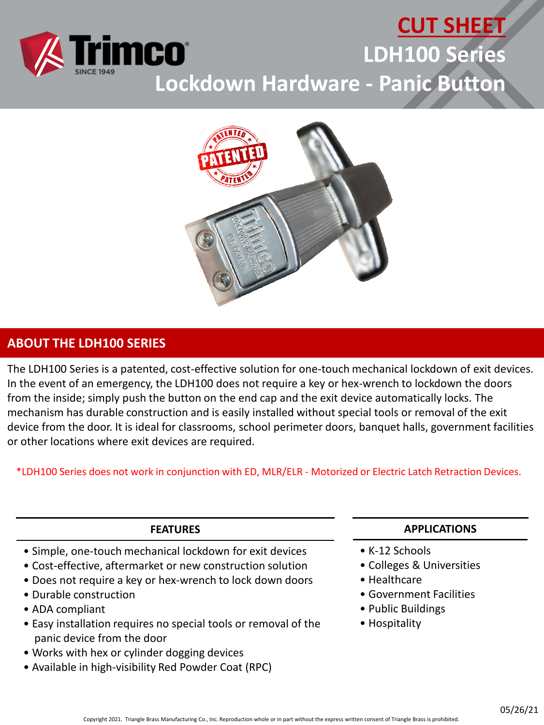

# **CUT SHEET LDH100 Series Lockdown Hardware - Panic Button**



### **ABOUT THE LDH100 SERIES**

The LDH100 Series is a patented, cost-effective solution for one-touch mechanical lockdown of exit devices. In the event of an emergency, the LDH100 does not require a key or hex-wrench to lockdown the doors from the inside; simply push the button on the end cap and the exit device automatically locks. The mechanism has durable construction and is easily installed without special tools or removal of the exit device from the door. It is ideal for classrooms, school perimeter doors, banquet halls, government facilities or other locations where exit devices are required.

\*LDH100 Series does not work in conjunction with ED, MLR/ELR - Motorized or Electric Latch Retraction Devices.

#### **FEATURES**

- Simple, one-touch mechanical lockdown for exit devices
- Cost-effective, aftermarket or new construction solution
- Does not require a key or hex-wrench to lock down doors
- Durable construction
- ADA compliant
- Easy installation requires no special tools or removal of the panic device from the door
- Works with hex or cylinder dogging devices
- Available in high-visibility Red Powder Coat (RPC)

#### **APPLICATIONS**

- K-12 Schools
- Colleges & Universities
- Healthcare
- Government Facilities
- Public Buildings
- Hospitality